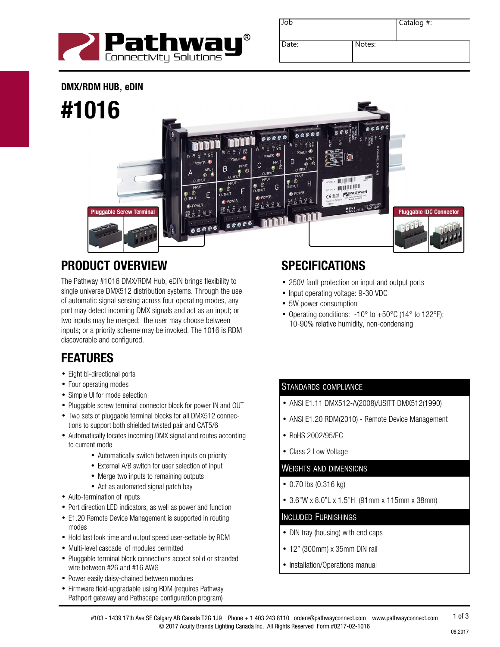

| Job   |        | Catalog #: |
|-------|--------|------------|
| Date: | Notes: |            |

DMX/RDM HUB**,** eDIN



# PRODUCT OVERVIEW

The Pathway #1016 DMX/RDM Hub, eDIN brings flexibility to single universe DMX512 distribution systems. Through the use of automatic signal sensing across four operating modes, any port may detect incoming DMX signals and act as an input; or two inputs may be merged; the user may choose between inputs; or a priority scheme may be invoked. The 1016 is RDM discoverable and configured.

## FEATURES

- Eight bi-directional ports
- Four operating modes
- Simple UI for mode selection
- Pluggable screw terminal connector block for power IN and OUT
- Two sets of pluggable terminal blocks for all DMX512 connections to support both shielded twisted pair and CAT5/6
- Automatically locates incoming DMX signal and routes according to current mode
	- Automatically switch between inputs on priority
	- External A/B switch for user selection of input
	- Merge two inputs to remaining outputs
	- Act as automated signal patch bay
- Auto-termination of inputs
- Port direction LED indicators, as well as power and function
- E1.20 Remote Device Management is supported in routing modes
- Hold last look time and output speed user-settable by RDM
- Multi-level cascade of modules permitted
- Pluggable terminal block connections accept solid or stranded wire between #26 and #16 AWG
- Power easily daisy-chained between modules
- Firmware field-upgradable using RDM (requires Pathway Pathport gateway and Pathscape configuration program)

# **SPECIFICATIONS**

- 250V fault protection on input and output ports
- Input operating voltage: 9-30 VDC
- 5W power consumption
- Operating conditions:  $-10^{\circ}$  to  $+50^{\circ}$ C (14° to 122°F); 10-90% relative humidity, non-condensing

### STANDARDS COMPLIANCE

- ANSI E1.11 DMX512-A(2008)/USITT DMX512(1990)
- ANSI E1.20 RDM(2010) Remote Device Management
- RoHS 2002/95/EC
- Class 2 Low Voltage

### WEIGHTS AND DIMENSIONS

- 0.70 lbs (0.316 kg)
- 3.6"W x 8.0"L x 1.5"H (91mm x 115mm x 38mm)

#### INCLUDED FURNISHINGS

- DIN tray (housing) with end caps
- 12" (300mm) x 35mm DIN rail
- Installation/Operations manual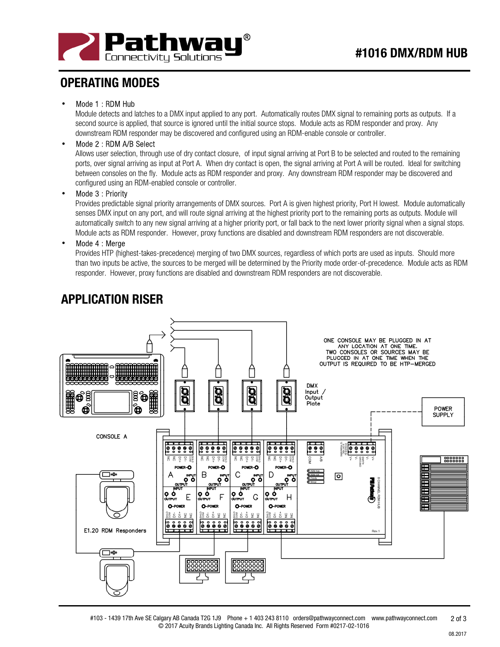

### OPERATING MODES

#### Mode 1 : RDM Hub

Module detects and latches to a DMX input applied to any port. Automatically routes DMX signal to remaining ports as outputs. If a second source is applied, that source is ignored until the initial source stops. Module acts as RDM responder and proxy. Any downstream RDM responder may be discovered and configured using an RDM-enable console or controller.

#### • Mode 2 : RDM A/B Select

Allows user selection, through use of dry contact closure, of input signal arriving at Port B to be selected and routed to the remaining ports, over signal arriving as input at Port A. When dry contact is open, the signal arriving at Port A will be routed. Ideal for switching between consoles on the fly. Module acts as RDM responder and proxy. Any downstream RDM responder may be discovered and configured using an RDM-enabled console or controller.

#### Mode 3 : Priority

Provides predictable signal priority arrangements of DMX sources. Port A is given highest priority, Port H lowest. Module automatically senses DMX input on any port, and will route signal arriving at the highest priority port to the remaining ports as outputs. Module will automatically switch to any new signal arriving at a higher priority port, or fall back to the next lower priority signal when a signal stops. Module acts as RDM responder. However, proxy functions are disabled and downstream RDM responders are not discoverable.

Mode 4 : Merge

Provides HTP (highest-takes-precedence) merging of two DMX sources, regardless of which ports are used as inputs. Should more than two inputs be active, the sources to be merged will be determined by the Priority mode order-of-precedence. Module acts as RDM responder. However, proxy functions are disabled and downstream RDM responders are not discoverable.



## APPLICATION RISER